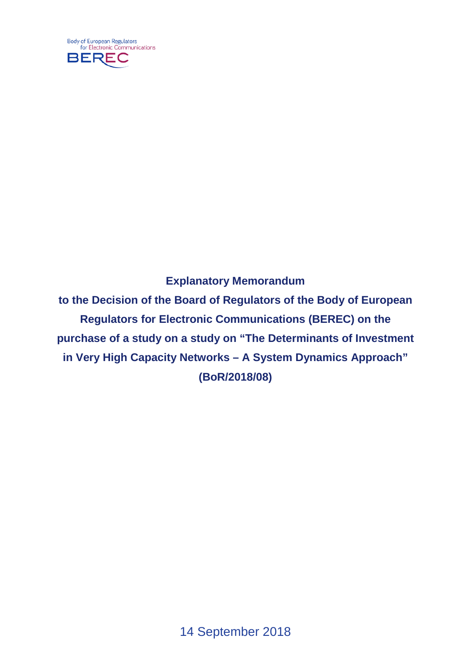

## **Explanatory Memorandum**

**to the Decision of the Board of Regulators of the Body of European Regulators for Electronic Communications (BEREC) on the purchase of a study on a study on "The Determinants of Investment in Very High Capacity Networks – A System Dynamics Approach" (BoR/2018/08)**